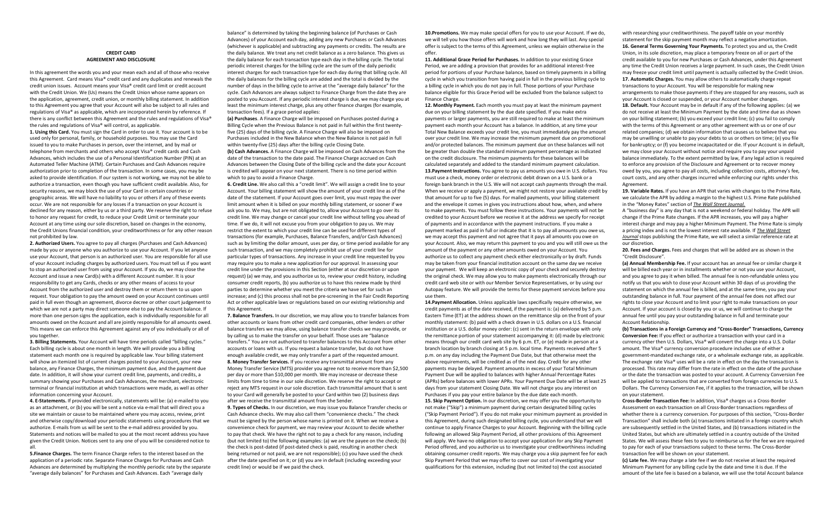## **CREDIT CARD AGREEMENT AND DISCLOSURE**

In this agreement the words you and your mean each and all of those who receive this Agreement. Card means Visa® credit card and any duplicates and renewals the credit union issues. Account means your Visa® credit card limit or credit account with the Credit Union. We (Us) means the Credit Union whose name appears on the application, agreement, credit union, or monthly billing statement. In addition to this Agreement you agree that your Account will also be subject to all rules and regulations of Visa® as applicable, which are incorporated herein by reference. If there is any conflict between this Agreement and the rules and regulations of Visa® the rules and regulations of Visa® will control, as applicable. **1. Using this Card.** You must sign the Card in order to use it. Your account is to be used only for personal, family, or household purposes. You may use the Card issued to you to make Purchases in person, over the internet, and by mail or telephone from merchants and others who accept Visa® credit cards and Cash Advances, which includes the use of a Personal Identification Number (PIN) at an Automated Teller Machine (ATM). Certain Purchases and Cash Advances require authorization prior to completion of the transaction. In some cases, you may be asked to provide identification. If our system is not working, we may not be able to authorize a transaction, even though you have sufficient credit available. Also, for security reasons, we may block the use of your Card in certain countries or geographic areas. We will have no liability to you or others if any of these events occur. We are not responsible for any losses if a transaction on your Account is declined for any reason, either by us or a third party. We reserve the right to refuse to honor any request for credit, to reduce your Credit Limit or terminate your Account at any time using our sole discretion, based on changes in the economy, the Credit Unions financial condition, your creditworthiness or for any other reason

**2. Authorized Users.** You agree to pay all charges (Purchases and Cash Advances) made by you or anyone who you authorize to use your Account. If you let anyone use your Account, that person is an authorized user. You are responsible for all use of your Account including charges by authorized users. You must tell us if you want to stop an authorized user from using your Account. If you do, we may close the Account and issue a new Card(s) with a different Account number. It is your responsibility to get any Cards, checks or any other means of access to your Account from the authorized user and destroy them or return them to us upon request. Your obligation to pay the amount owed on your Account continues until paid in full even though an agreement, divorce decree or other court judgement to which we are not a party may direct someone else to pay the Account balance. If more than one person signs the application, each is individually responsible for all amounts owed on the Account and all are jointly responsible for all amounts owed. This means we can enforce this Agreement against any of you individually or all of you together.

not prohibited by law.

**3. Billing Statements.** Your Account will have time periods called "billing cycles." Each billing cycle is about one month in length. We will provide you a billing statement each month one is required by applicable law. Your billing statement will show an itemized list of current charges posted to your Account, your new balance, any Finance Charges, the minimum payment due, and the payment due date. In addition, it will show your current credit line, payments, and credits, a summary showing your Purchases and Cash Advances, the merchant, electronic terminal or financial institution at which transactions were made, as well as other information concerning your Account.

**4. E-Statements.** If provided electronically, statements will be: (a) e-mailed to you as an attachment, or (b) you will be sent a notice via e-mail that will direct you a site we maintain or cause to be maintained where you may access, review, print and otherwise copy/download your periodic statements using procedures that we authorize. E-mails from us will be sent to the e-mail address provided by you. Statements and notices will be mailed to you at the most recent address you have given the Credit Union. Notices sent to any one of you will be considered notice to all.

**5.Finance Charges.** The term Finance Charge refers to the interest based on the application of a periodic rate. Separate Finance Charges for Purchases and Cash Advances are determined by multiplying the monthly periodic rate by the separate "average daily balances" for Purchases and Cash Advances. Each "average daily

 balance" is determined by taking the beginning balance (of Purchases or Cash  Advances) of your Account each day, adding any new Purchases or Cash Advances (whichever is applicable) and subtracting any payments or credits. The results are the daily balance. We treat any net credit balance as a zero balance. This gives us the daily balance for each transaction type each day in the billing cycle. The total periodic interest charges for the billing cycle are the sum of the daily periodic interest charges for each transaction type for each day during that billing cycle. All the daily balances for the billing cycle are added and the total is divided by the number of days in the billing cycle to arrive at the "average daily balance" for the cycle. Cash Advances are always subject to Finance Charge from the date they are posted to you Account. If any periodic interest charge is due, we may charge you at least the minimum interest charge, plus any other finance charges (for example, transaction fees). If a grace period applies:

**(a) Purchases**. A Finance Charge will be imposed on Purchases posted during a Billing Cycle when the Previous Balance is not paid in full within the first twentyfive (25) days of the billing cycle. A Finance Charge will also be imposed on Purchases included in the New Balance when the New Balance is not paid in full within twenty-five (25) days after the billing cycle Closing Date. **(b) Cash Advances.** A Finance Charge will be imposed on Cash Advances from the date of the transaction to the date paid. The Finance Charge accrued on Cash Advances between the Closing Date of the billing cycle and the date your Account is credited will appear on your next statement. There is no time period within which to pay to avoid a Finance Charge.

**6. Credit Line.** We also call this a "credit limit". We will assign a credit line to your Account. Your billing statement will show the amount of your credit line as of the date of the statement. If your Account goes over limit, you must repay the over limit amount when it is billed on your monthly billing statement, or sooner if we ask you to. We may, but are not obligated to, allow your Account to go over its credit line. We may change or cancel your credit line without telling you ahead of time. If we do, it will not excuse you from your obligation to pay us. We may restrict the extent to which your credit line can be used for different types of transactions (for example, Purchases, Balance Transfers, and/or Cash Advances) such as by limiting the dollar amount, uses per day, or time period available for any such transaction, and we may completely prohibit use of your credit line for particular types of transactions. Any increase in your credit line requested by you may require you to make a new application for our approval. In assessing your credit line under the provisions in this Section (either at our discretion or upon request) (a) we may, and you authorize us to, review your credit history, including consumer credit reports, (b) you authorize us to have this review made by third parties to determine whether you meet the criteria we have set for such an increase; and (c) this process shall not be pre-screening in the Fair Credit Reporting Act or other applicable laws or regulations based on our existing relationship and this Agreement.

**7. Balance Transfers.** In our discretion, we may allow you to transfer balances from other accounts or loans from other credit card companies, other lenders or other balance transfers we may allow, using balance transfer checks we may provide, or by calling us to make the transfer on your behalf. Those uses are "balance transfers." You are not authorized to transfer balances to this Account from other accounts or loans with us. If you request a balance transfer, but do not have enough available credit, we may only transfer a part of the requested amount. **8. Money Transfer Services.** If you receive any transmittal amount from any Money Transfer Service (MTS) provider you agree not to receive more than \$2,500 per day or more than \$10,000 per month. We may increase or decrease these limits from time to time in our sole discretion. We reserve the right to accept or reject any MTS request in our sole discretion. Each transmittal amount that is sent to your Card will generally be posted to your Card within two (2) business days after we receive the transmittal amount from the Sender.

**9. Types of Checks.** In our discretion, we may issue you Balance Transfer checks or Cash Advance checks. We may also call them "convenience checks." The check must be signed by the person whose name is printed on it. When we receive a convenience check for payment, we may review your Account to decide whether to pay that check. We have the right not to pay a check for any reason, including (but not limited to) the following examples: (a) we are the payee on the check; (b) the check is post-dated (if post-dated check is paid, resulting in another check being returned or not paid, we are not responsible); (c) you have used the check after the date specified on it; or (d) you are in default (including exceeding your credit line) or would be if we paid the check.

**10.Promotions.** We may make special offers for you to use your Account. If we do, we will tell you how those offers will work and how long they will last. Any special offer is subject to the terms of this Agreement, unless we explain otherwise in the offer.

**11. Additional Grace Period for Purchases.** In addition to your existing Grace Period, we are adding a provision that provides for an additional interest-free period for portions of your Purchase balance, based on timely payments in a billing cycle in which you transition from having paid in full in the previous billing cycle to a billing cycle in which you do not pay in full. Those portions of your Purchase balance eligible for this Grace Period will be excluded from the balance subject to Finance Charge.

**12. Monthly Payment.** Each month you must pay at least the minimum payment due on your billing statement by the due date specified. If you make extra payments or larger payments, you are still required to make at least the minimum payment each month your Account has a balance. In addition, at any time your Total New Balance exceeds your credit line, you must immediately pay the amount over your credit line. We may increase the minimum payment due on promotional and/or protected balances. The minimum payment due on these balances will not be greater than double the standard minimum payment percentage as indicated on the credit disclosure. The minimum payments for these balances will be calculated separately and added to the standard minimum payment calculation. **13.Payment Instructions.** You agree to pay us amounts you owe in U.S. dollars. You must use a check, money order or electronic debit drawn on a U.S. bank or a foreign bank branch in the U.S. We will not accept cash payments through the mail. When we receive or apply a payment, we might not restore your available credit by that amount for up to five (5) days. For mailed payments, your billing statement and the envelope it comes in gives you instructions about how, when, and where to make payments. You must follow these instructions. Your payments will not be credited to your Account before we receive it at the address we specify for receipt of payments and in accordance with the payment instructions. If you make a payment marked as paid in full or indicate that it is to pay all amounts you owe us, we may accept this payment and not agree that it pays all amounts you owe on your Account. Also, we may return this payment to you and you will still owe us the amount of the payment or any other amounts owed on your Account. You authorize us to collect any payment check either electronically or by draft. Funds may be taken from your financial institution account on the same day we receive your payment. We will keep an electronic copy of your check and securely destroy the original check. We may allow you to make payments electronically through our credit card web site or with our Member Service Representatives, or by using our Autopay feature. We will provide the terms for these payment services before you use them.

**14.Payment Allocation.** Unless applicable laws specifically require otherwise, we credit payments as of the date received, if the payment is: (a) delivered by 5 p.m. Eastern Time (ET) at the address shown on the remittance slip on the front of your monthly statement: (b) paid with a check drawn in U.S. dollars on a U.S. financial institution or a U.S. dollar money order: (c) sent in the return envelope with only the remittance portion of your statement accompanying it: (d) made by electronic means through our credit card web site by 6 p.m. ET, or (e) made in person at a branch location by branch closing at 5 p.m. local time. Payments received after 5 p.m. on any day including the Payment Due Date, but that otherwise meet the above requirements, will be credited as of the next day. Credit for any other payments may be delayed. Payment amounts in excess of your Total Minimum Payment Due will be applied to balances with higher Annual Percentage Rates (APRs) before balances with lower APRs. Your Payment Due Date will be at least 25 days from your statement Closing Date. We will not charge you any interest on Purchases if you pay your entire balance by the due date each month. **15. Skip Payment Option.** In our discretion, we may offer you the opportunity to not make ("Skip") a minimum payment during certain designated billing cycles ("Skip Payment Period"). If you do not make your minimum payment as provided in this Agreement, during such designated billing cycle, you understand that we will continue to apply Finance Charges to your Account. Beginning with the billing cycle following an allowed Skip Payment Period, all other provisions of this Agreement will apply. We have no obligation to accept your application for any Skip Payment Period offered, and you authorize us to investigate your creditworthiness including obtaining consumer credit reports. We may charge you a skip payment fee for each Skip Payment Period that we may offer to cover our cost of investigating your qualifications for this extension, including (but not limited to) the cost associated

with researching your creditworthiness. The payoff table on your monthly statement for the skip payment month may reflect a negative amortization. **16. General Terms Governing Your Payments.** To protect you and us, the Credit Union, in its sole discretion, may place a temporary freeze on all or part of the credit available to you for new Purchases or Cash Advances, under this Agreement any time the Credit Union receives a large payment. In such cases, the Credit Union may freeze your credit limit until payment is actually collected by the Credit Union. **17. Automatic Charges.** You may allow others to automatically charge repeat transactions to your Account. You will be responsible for making new arrangements to make those payments if they are stopped for any reasons, such as your Account is closed or suspended, or your Account number changes. **18. Default.** Your Account may be in default if any of the following applies: (a) we do not receive at least the Minimum Payment by the date and time due as shown on your billing statement; (b) you exceed your credit line; (c) you fail to comply with the terms of this Agreement or any other agreement with us or one of our related companies; (d) we obtain information that causes us to believe that you may be unwilling or unable to pay your debts to us or others on time; (e) you file for bankruptcy; or (f) you become incapacitated or die. If your Account is in default, we may close your Account without notice and require you to pay your unpaid balance immediately. To the extent permitted by law, if any legal action is required to enforce any provision of the Disclosure and Agreement or to recover money owed by you, you agree to pay all costs, including collection costs, attorney's fee, court costs, and any other charges incurred while enforcing our rights under this Agreement.

**19. Variable Rates.** If you have an APR that varies with changes to the Prime Rate, we calculate the APR by adding a margin to the highest U.S. Prime Rate published in the "Money Rates" section of *The Wall Street Journal.* 

A "business day" is any day that is not a weekend or federal holiday. The APR will change if the Prime Rate changes. If the APR increases, you will pay a higher interest charge and may pay a higher Minimum Payment. The Prime Rate is simply a pricing index and is not the lowest interest rate available. If *The Wall Street Journal* stops publishing the Prime Rate, we will select a similar reference rate at our discretion.

**20. Fees and Charges.** Fees and charges that will be added are as shown in the "Credit Disclosure".

**(a) Annual Membership Fee.** If your account has an annual fee or similar charge it will be billed each year or in installments whether or not you use your Account, and you agree to pay it when billed. The annual fee is non-refundable unless you notify us that you wish to close your Account within 30 days of us providing the statement on which the annual fee is billed, and at the same time, you pay your outstanding balance in full. Your payment of the annual fee does not affect our rights to close your Account and to limit your right to make transactions on your Account. If your account is closed by you or us, we will continue to charge the annual fee until you pay your outstanding balance in full and terminate your Account Relationship.

**(b) Transactions in a Foreign Currency and "Cross-Border" Transactions, Currency Conversion Fee:** If you effect or authorize a transaction with your card in a currency other then U.S. Dollars, Visa® will convert the charge into a U.S. Dollar amount. The Visa® currency conversion procedure includes use of either a government-mandated exchange rate, or a wholesale exchange rate, as applicable. The exchange rate Visa® uses will be a rate in effect on the day the transaction is processed. This rate may differ from the rate in effect on the date of the purchase or the date the transaction was posted to your account. A Currency Conversion Fee will be applied to transactions that are converted from foreign currencies to U.S. Dollars. The Currency Conversion Fee, if it applies to the transaction, will be shown on your statement.

**Cross-Border Transaction Fee:** In addition, Visa® charges us a Cross-Border Assessment on each transaction on all Cross-Border transactions regardless of whether there is a currency conversion. For purposes of this section, "Cross-Border Transaction" shall include both (a) transactions initiated in a foreign country which are subsequently settled in the United States, and (b) transactions initiated in the United States, but which are ultimately settled in a country outside of the United States. We will assess these fees to you to reimburse us for the fee we are required to pay for each of your transactions subject to these terms. The Cross-Border transaction fee will be shown on your statement.

**(c) Late fee.** We may charge a late fee if we do not receive at least the required Minimum Payment for any billing cycle by the date and time it is due. If the amount of the late fee is based on a balance, we will use the total Account balance